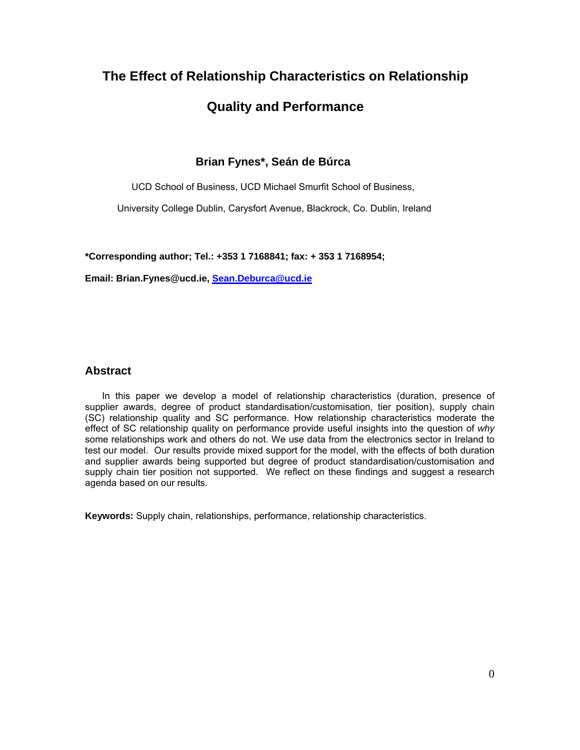# **The Effect of Relationship Characteristics on Relationship Quality and Performance**

# **Brian Fynes\*, Seán de Búrca**

UCD School of Business, UCD Michael Smurfit School of Business,

University College Dublin, Carysfort Avenue, Blackrock, Co. Dublin, Ireland

**\*Corresponding author; Tel.: +353 1 7168841; fax: + 353 1 7168954;** 

**Email: Brian.Fynes@ucd.ie, Sean.Deburca@ucd.ie**

# **Abstract**

In this paper we develop a model of relationship characteristics (duration, presence of supplier awards, degree of product standardisation/customisation, tier position), supply chain (SC) relationship quality and SC performance. How relationship characteristics moderate the effect of SC relationship quality on performance provide useful insights into the question of *why* some relationships work and others do not. We use data from the electronics sector in Ireland to test our model. Our results provide mixed support for the model, with the effects of both duration and supplier awards being supported but degree of product standardisation/customisation and supply chain tier position not supported. We reflect on these findings and suggest a research agenda based on our results.

**Keywords:** Supply chain, relationships, performance, relationship characteristics.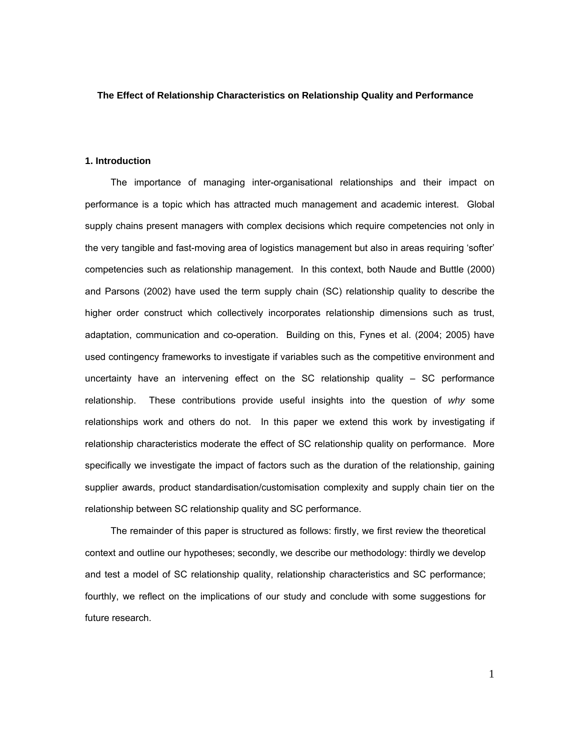#### **The Effect of Relationship Characteristics on Relationship Quality and Performance**

#### **1. Introduction**

The importance of managing inter-organisational relationships and their impact on performance is a topic which has attracted much management and academic interest. Global supply chains present managers with complex decisions which require competencies not only in the very tangible and fast-moving area of logistics management but also in areas requiring 'softer' competencies such as relationship management. In this context, both Naude and Buttle (2000) and Parsons (2002) have used the term supply chain (SC) relationship quality to describe the higher order construct which collectively incorporates relationship dimensions such as trust, adaptation, communication and co-operation. Building on this, Fynes et al. (2004; 2005) have used contingency frameworks to investigate if variables such as the competitive environment and uncertainty have an intervening effect on the SC relationship quality – SC performance relationship. These contributions provide useful insights into the question of *why* some relationships work and others do not. In this paper we extend this work by investigating if relationship characteristics moderate the effect of SC relationship quality on performance. More specifically we investigate the impact of factors such as the duration of the relationship, gaining supplier awards, product standardisation/customisation complexity and supply chain tier on the relationship between SC relationship quality and SC performance.

The remainder of this paper is structured as follows: firstly, we first review the theoretical context and outline our hypotheses; secondly, we describe our methodology: thirdly we develop and test a model of SC relationship quality, relationship characteristics and SC performance; fourthly, we reflect on the implications of our study and conclude with some suggestions for future research.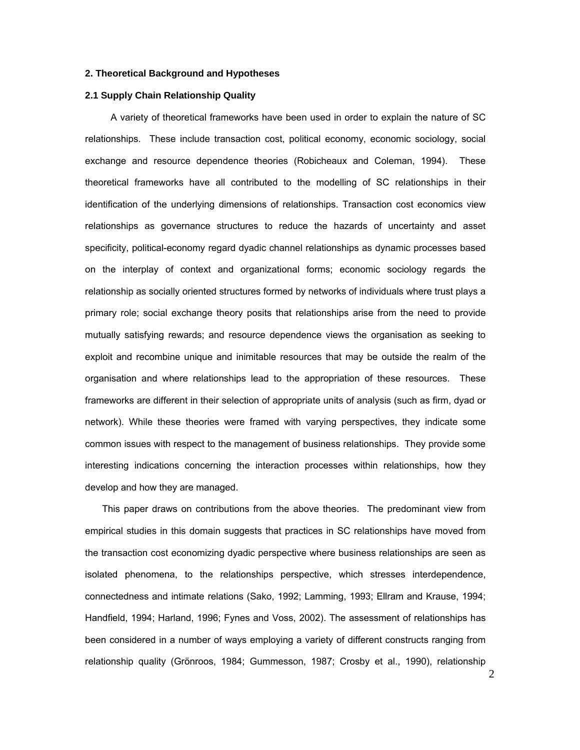#### **2. Theoretical Background and Hypotheses**

#### **2.1 Supply Chain Relationship Quality**

A variety of theoretical frameworks have been used in order to explain the nature of SC relationships. These include transaction cost, political economy, economic sociology, social exchange and resource dependence theories (Robicheaux and Coleman, 1994). These theoretical frameworks have all contributed to the modelling of SC relationships in their identification of the underlying dimensions of relationships. Transaction cost economics view relationships as governance structures to reduce the hazards of uncertainty and asset specificity, political-economy regard dyadic channel relationships as dynamic processes based on the interplay of context and organizational forms; economic sociology regards the relationship as socially oriented structures formed by networks of individuals where trust plays a primary role; social exchange theory posits that relationships arise from the need to provide mutually satisfying rewards; and resource dependence views the organisation as seeking to exploit and recombine unique and inimitable resources that may be outside the realm of the organisation and where relationships lead to the appropriation of these resources. These frameworks are different in their selection of appropriate units of analysis (such as firm, dyad or network). While these theories were framed with varying perspectives, they indicate some common issues with respect to the management of business relationships. They provide some interesting indications concerning the interaction processes within relationships, how they develop and how they are managed.

This paper draws on contributions from the above theories. The predominant view from empirical studies in this domain suggests that practices in SC relationships have moved from the transaction cost economizing dyadic perspective where business relationships are seen as isolated phenomena, to the relationships perspective, which stresses interdependence, connectedness and intimate relations (Sako, 1992; Lamming, 1993; Ellram and Krause, 1994; Handfield, 1994; Harland, 1996; Fynes and Voss, 2002). The assessment of relationships has been considered in a number of ways employing a variety of different constructs ranging from relationship quality (Grönroos, 1984; Gummesson, 1987; Crosby et al., 1990), relationship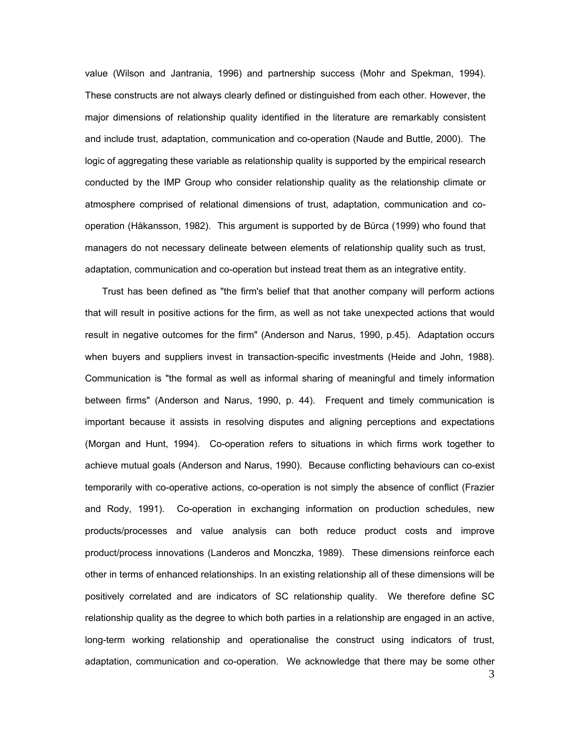value (Wilson and Jantrania, 1996) and partnership success (Mohr and Spekman, 1994). These constructs are not always clearly defined or distinguished from each other. However, the major dimensions of relationship quality identified in the literature are remarkably consistent and include trust, adaptation, communication and co-operation (Naude and Buttle, 2000). The logic of aggregating these variable as relationship quality is supported by the empirical research conducted by the IMP Group who consider relationship quality as the relationship climate or atmosphere comprised of relational dimensions of trust, adaptation, communication and cooperation (Håkansson, 1982). This argument is supported by de Búrca (1999) who found that managers do not necessary delineate between elements of relationship quality such as trust, adaptation, communication and co-operation but instead treat them as an integrative entity.

Trust has been defined as "the firm's belief that that another company will perform actions that will result in positive actions for the firm, as well as not take unexpected actions that would result in negative outcomes for the firm" (Anderson and Narus, 1990, p.45). Adaptation occurs when buyers and suppliers invest in transaction-specific investments (Heide and John, 1988). Communication is "the formal as well as informal sharing of meaningful and timely information between firms" (Anderson and Narus, 1990, p. 44). Frequent and timely communication is important because it assists in resolving disputes and aligning perceptions and expectations (Morgan and Hunt, 1994). Co-operation refers to situations in which firms work together to achieve mutual goals (Anderson and Narus, 1990). Because conflicting behaviours can co-exist temporarily with co-operative actions, co-operation is not simply the absence of conflict (Frazier and Rody, 1991). Co-operation in exchanging information on production schedules, new products/processes and value analysis can both reduce product costs and improve product/process innovations (Landeros and Monczka, 1989). These dimensions reinforce each other in terms of enhanced relationships. In an existing relationship all of these dimensions will be positively correlated and are indicators of SC relationship quality. We therefore define SC relationship quality as the degree to which both parties in a relationship are engaged in an active, long-term working relationship and operationalise the construct using indicators of trust, adaptation, communication and co-operation. We acknowledge that there may be some other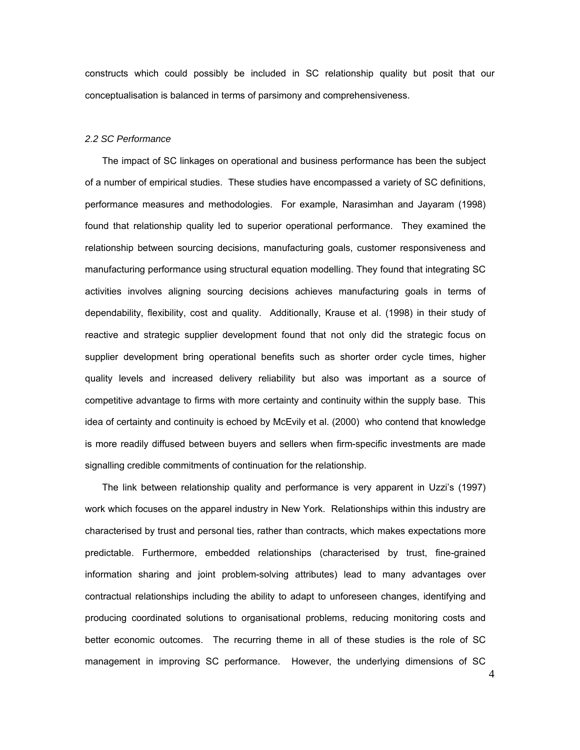constructs which could possibly be included in SC relationship quality but posit that our conceptualisation is balanced in terms of parsimony and comprehensiveness.

#### *2.2 SC Performance*

The impact of SC linkages on operational and business performance has been the subject of a number of empirical studies. These studies have encompassed a variety of SC definitions, performance measures and methodologies. For example, Narasimhan and Jayaram (1998) found that relationship quality led to superior operational performance. They examined the relationship between sourcing decisions, manufacturing goals, customer responsiveness and manufacturing performance using structural equation modelling. They found that integrating SC activities involves aligning sourcing decisions achieves manufacturing goals in terms of dependability, flexibility, cost and quality. Additionally, Krause et al. (1998) in their study of reactive and strategic supplier development found that not only did the strategic focus on supplier development bring operational benefits such as shorter order cycle times, higher quality levels and increased delivery reliability but also was important as a source of competitive advantage to firms with more certainty and continuity within the supply base. This idea of certainty and continuity is echoed by McEvily et al. (2000) who contend that knowledge is more readily diffused between buyers and sellers when firm-specific investments are made signalling credible commitments of continuation for the relationship.

The link between relationship quality and performance is very apparent in Uzzi's (1997) work which focuses on the apparel industry in New York. Relationships within this industry are characterised by trust and personal ties, rather than contracts, which makes expectations more predictable. Furthermore, embedded relationships (characterised by trust, fine-grained information sharing and joint problem-solving attributes) lead to many advantages over contractual relationships including the ability to adapt to unforeseen changes, identifying and producing coordinated solutions to organisational problems, reducing monitoring costs and better economic outcomes. The recurring theme in all of these studies is the role of SC management in improving SC performance. However, the underlying dimensions of SC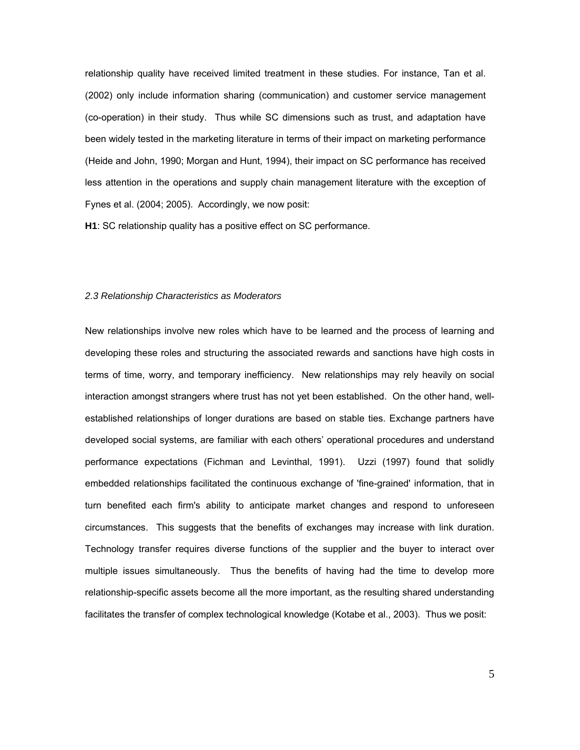relationship quality have received limited treatment in these studies. For instance, Tan et al. (2002) only include information sharing (communication) and customer service management (co-operation) in their study. Thus while SC dimensions such as trust, and adaptation have been widely tested in the marketing literature in terms of their impact on marketing performance (Heide and John, 1990; Morgan and Hunt, 1994), their impact on SC performance has received less attention in the operations and supply chain management literature with the exception of Fynes et al. (2004; 2005). Accordingly, we now posit:

**H1**: SC relationship quality has a positive effect on SC performance.

#### *2.3 Relationship Characteristics as Moderators*

New relationships involve new roles which have to be learned and the process of learning and developing these roles and structuring the associated rewards and sanctions have high costs in terms of time, worry, and temporary inefficiency. New relationships may rely heavily on social interaction amongst strangers where trust has not yet been established. On the other hand, wellestablished relationships of longer durations are based on stable ties. Exchange partners have developed social systems, are familiar with each others' operational procedures and understand performance expectations (Fichman and Levinthal, 1991). Uzzi (1997) found that solidly embedded relationships facilitated the continuous exchange of 'fine-grained' information, that in turn benefited each firm's ability to anticipate market changes and respond to unforeseen circumstances. This suggests that the benefits of exchanges may increase with link duration. Technology transfer requires diverse functions of the supplier and the buyer to interact over multiple issues simultaneously. Thus the benefits of having had the time to develop more relationship-specific assets become all the more important, as the resulting shared understanding facilitates the transfer of complex technological knowledge (Kotabe et al., 2003). Thus we posit: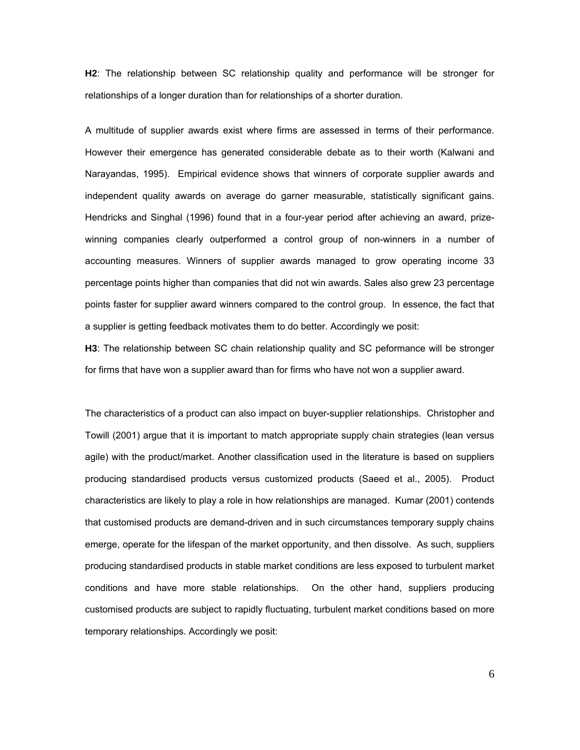**H2**: The relationship between SC relationship quality and performance will be stronger for relationships of a longer duration than for relationships of a shorter duration.

A multitude of supplier awards exist where firms are assessed in terms of their performance. However their emergence has generated considerable debate as to their worth (Kalwani and Narayandas, 1995). Empirical evidence shows that winners of corporate supplier awards and independent quality awards on average do garner measurable, statistically significant gains. Hendricks and Singhal (1996) found that in a four-year period after achieving an award, prizewinning companies clearly outperformed a control group of non-winners in a number of accounting measures. Winners of supplier awards managed to grow operating income 33 percentage points higher than companies that did not win awards. Sales also grew 23 percentage points faster for supplier award winners compared to the control group. In essence, the fact that a supplier is getting feedback motivates them to do better. Accordingly we posit:

**H3**: The relationship between SC chain relationship quality and SC peformance will be stronger for firms that have won a supplier award than for firms who have not won a supplier award.

The characteristics of a product can also impact on buyer-supplier relationships. Christopher and Towill (2001) argue that it is important to match appropriate supply chain strategies (lean versus agile) with the product/market. Another classification used in the literature is based on suppliers producing standardised products versus customized products (Saeed et al., 2005). Product characteristics are likely to play a role in how relationships are managed. Kumar (2001) contends that customised products are demand-driven and in such circumstances temporary supply chains emerge, operate for the lifespan of the market opportunity, and then dissolve. As such, suppliers producing standardised products in stable market conditions are less exposed to turbulent market conditions and have more stable relationships. On the other hand, suppliers producing customised products are subject to rapidly fluctuating, turbulent market conditions based on more temporary relationships. Accordingly we posit: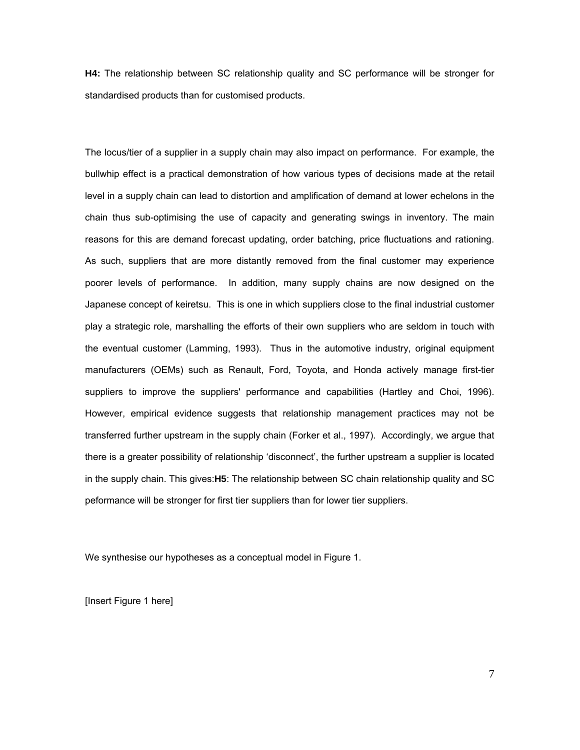**H4:** The relationship between SC relationship quality and SC performance will be stronger for standardised products than for customised products.

The locus/tier of a supplier in a supply chain may also impact on performance. For example, the bullwhip effect is a practical demonstration of how various types of decisions made at the retail level in a supply chain can lead to distortion and amplification of demand at lower echelons in the chain thus sub-optimising the use of capacity and generating swings in inventory. The main reasons for this are demand forecast updating, order batching, price fluctuations and rationing. As such, suppliers that are more distantly removed from the final customer may experience poorer levels of performance. In addition, many supply chains are now designed on the Japanese concept of keiretsu. This is one in which suppliers close to the final industrial customer play a strategic role, marshalling the efforts of their own suppliers who are seldom in touch with the eventual customer (Lamming, 1993). Thus in the automotive industry, original equipment manufacturers (OEMs) such as Renault, Ford, Toyota, and Honda actively manage first-tier suppliers to improve the suppliers' performance and capabilities (Hartley and Choi, 1996). However, empirical evidence suggests that relationship management practices may not be transferred further upstream in the supply chain (Forker et al., 1997). Accordingly, we argue that there is a greater possibility of relationship 'disconnect', the further upstream a supplier is located in the supply chain. This gives:**H5**: The relationship between SC chain relationship quality and SC peformance will be stronger for first tier suppliers than for lower tier suppliers.

We synthesise our hypotheses as a conceptual model in Figure 1.

[Insert Figure 1 here]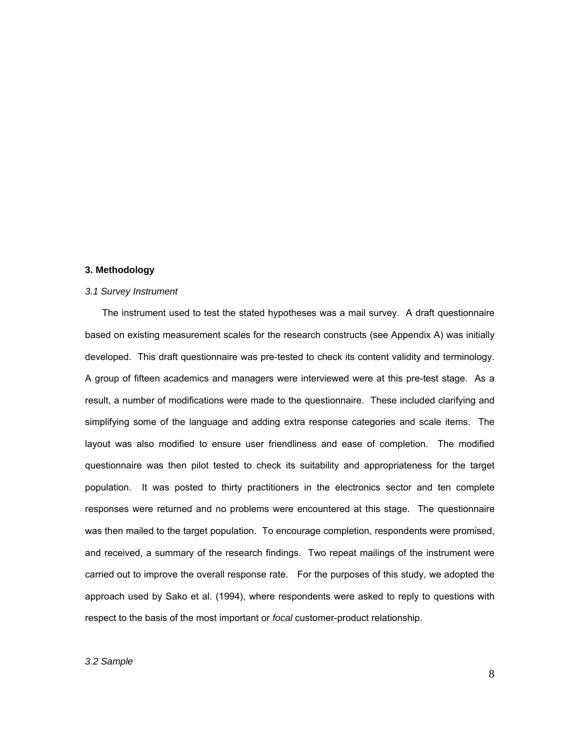#### **3. Methodology**

#### *3.1 Survey Instrument*

The instrument used to test the stated hypotheses was a mail survey. A draft questionnaire based on existing measurement scales for the research constructs (see Appendix A) was initially developed. This draft questionnaire was pre-tested to check its content validity and terminology. A group of fifteen academics and managers were interviewed were at this pre-test stage. As a result, a number of modifications were made to the questionnaire. These included clarifying and simplifying some of the language and adding extra response categories and scale items. The layout was also modified to ensure user friendliness and ease of completion. The modified questionnaire was then pilot tested to check its suitability and appropriateness for the target population. It was posted to thirty practitioners in the electronics sector and ten complete responses were returned and no problems were encountered at this stage. The questionnaire was then mailed to the target population. To encourage completion, respondents were promised, and received, a summary of the research findings. Two repeat mailings of the instrument were carried out to improve the overall response rate. For the purposes of this study, we adopted the approach used by Sako et al. (1994), where respondents were asked to reply to questions with respect to the basis of the most important or *focal* customer-product relationship.

#### *3.2 Sample*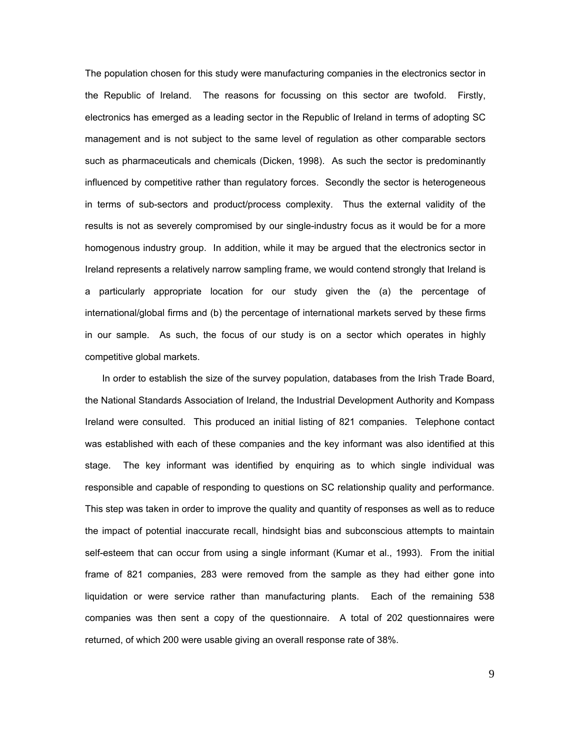The population chosen for this study were manufacturing companies in the electronics sector in the Republic of Ireland. The reasons for focussing on this sector are twofold. Firstly, electronics has emerged as a leading sector in the Republic of Ireland in terms of adopting SC management and is not subject to the same level of regulation as other comparable sectors such as pharmaceuticals and chemicals (Dicken, 1998). As such the sector is predominantly influenced by competitive rather than regulatory forces. Secondly the sector is heterogeneous in terms of sub-sectors and product/process complexity. Thus the external validity of the results is not as severely compromised by our single-industry focus as it would be for a more homogenous industry group. In addition, while it may be argued that the electronics sector in Ireland represents a relatively narrow sampling frame, we would contend strongly that Ireland is a particularly appropriate location for our study given the (a) the percentage of international/global firms and (b) the percentage of international markets served by these firms in our sample. As such, the focus of our study is on a sector which operates in highly competitive global markets.

In order to establish the size of the survey population, databases from the Irish Trade Board, the National Standards Association of Ireland, the Industrial Development Authority and Kompass Ireland were consulted. This produced an initial listing of 821 companies. Telephone contact was established with each of these companies and the key informant was also identified at this stage. The key informant was identified by enquiring as to which single individual was responsible and capable of responding to questions on SC relationship quality and performance. This step was taken in order to improve the quality and quantity of responses as well as to reduce the impact of potential inaccurate recall, hindsight bias and subconscious attempts to maintain self-esteem that can occur from using a single informant (Kumar et al., 1993). From the initial frame of 821 companies, 283 were removed from the sample as they had either gone into liquidation or were service rather than manufacturing plants. Each of the remaining 538 companies was then sent a copy of the questionnaire. A total of 202 questionnaires were returned, of which 200 were usable giving an overall response rate of 38%.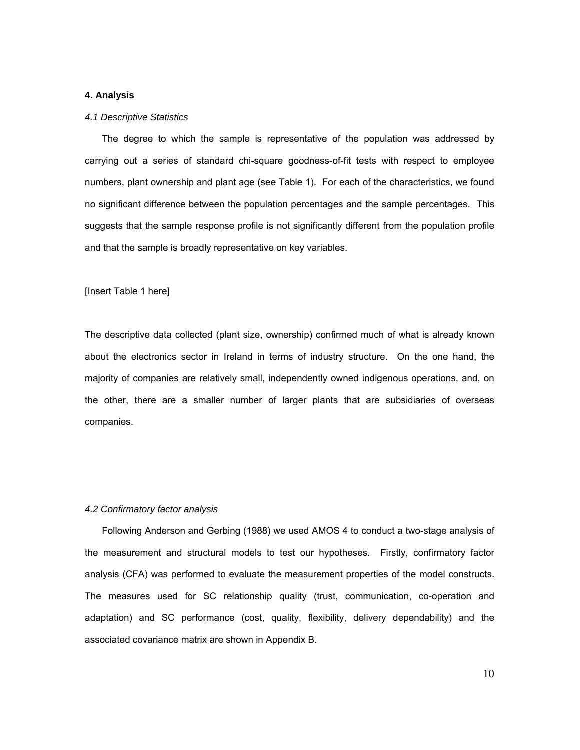#### **4. Analysis**

#### *4.1 Descriptive Statistics*

The degree to which the sample is representative of the population was addressed by carrying out a series of standard chi-square goodness-of-fit tests with respect to employee numbers, plant ownership and plant age (see Table 1). For each of the characteristics, we found no significant difference between the population percentages and the sample percentages. This suggests that the sample response profile is not significantly different from the population profile and that the sample is broadly representative on key variables.

#### [Insert Table 1 here]

The descriptive data collected (plant size, ownership) confirmed much of what is already known about the electronics sector in Ireland in terms of industry structure. On the one hand, the majority of companies are relatively small, independently owned indigenous operations, and, on the other, there are a smaller number of larger plants that are subsidiaries of overseas companies.

#### *4.2 Confirmatory factor analysis*

Following Anderson and Gerbing (1988) we used AMOS 4 to conduct a two-stage analysis of the measurement and structural models to test our hypotheses. Firstly, confirmatory factor analysis (CFA) was performed to evaluate the measurement properties of the model constructs. The measures used for SC relationship quality (trust, communication, co-operation and adaptation) and SC performance (cost, quality, flexibility, delivery dependability) and the associated covariance matrix are shown in Appendix B.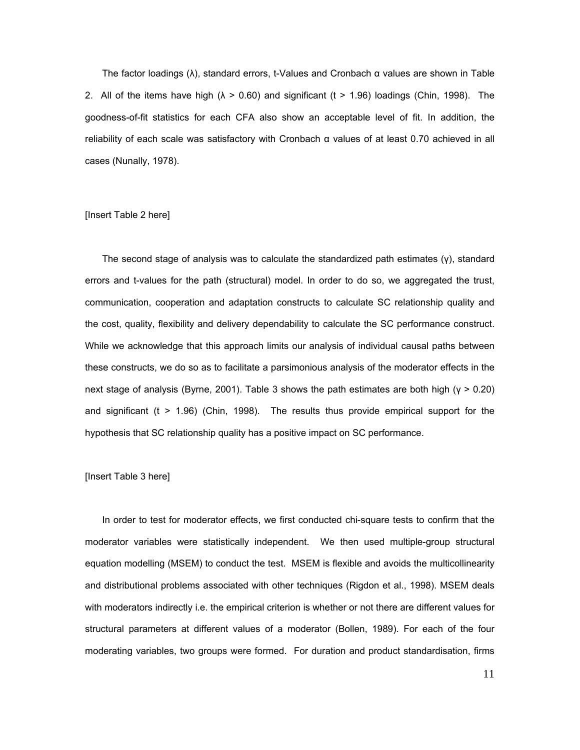The factor loadings (λ), standard errors, t-Values and Cronbach α values are shown in Table 2. All of the items have high ( $\lambda > 0.60$ ) and significant (t > 1.96) loadings (Chin, 1998). The goodness-of-fit statistics for each CFA also show an acceptable level of fit. In addition, the reliability of each scale was satisfactory with Cronbach α values of at least 0.70 achieved in all cases (Nunally, 1978).

#### [Insert Table 2 here]

The second stage of analysis was to calculate the standardized path estimates (γ), standard errors and t-values for the path (structural) model. In order to do so, we aggregated the trust, communication, cooperation and adaptation constructs to calculate SC relationship quality and the cost, quality, flexibility and delivery dependability to calculate the SC performance construct. While we acknowledge that this approach limits our analysis of individual causal paths between these constructs, we do so as to facilitate a parsimonious analysis of the moderator effects in the next stage of analysis (Byrne, 2001). Table 3 shows the path estimates are both high (γ > 0.20) and significant (t > 1.96) (Chin, 1998). The results thus provide empirical support for the hypothesis that SC relationship quality has a positive impact on SC performance.

#### [Insert Table 3 here]

In order to test for moderator effects, we first conducted chi-square tests to confirm that the moderator variables were statistically independent. We then used multiple-group structural equation modelling (MSEM) to conduct the test. MSEM is flexible and avoids the multicollinearity and distributional problems associated with other techniques (Rigdon et al., 1998). MSEM deals with moderators indirectly i.e. the empirical criterion is whether or not there are different values for structural parameters at different values of a moderator (Bollen, 1989). For each of the four moderating variables, two groups were formed. For duration and product standardisation, firms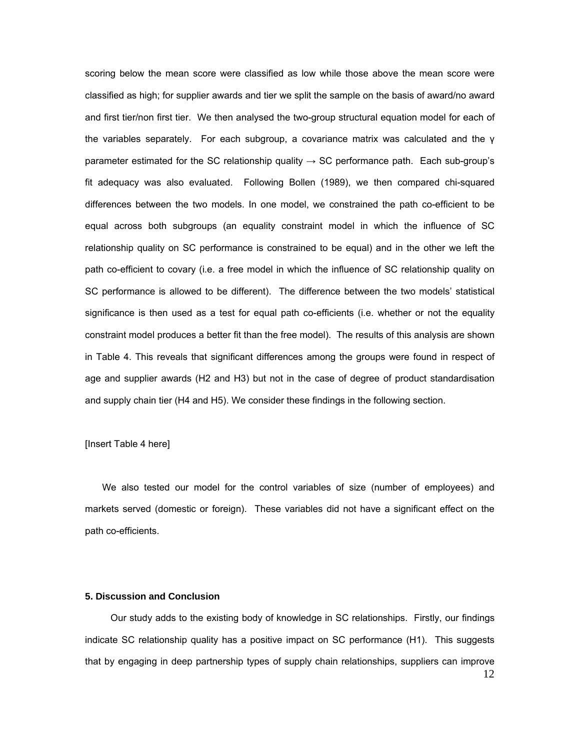scoring below the mean score were classified as low while those above the mean score were classified as high; for supplier awards and tier we split the sample on the basis of award/no award and first tier/non first tier. We then analysed the two-group structural equation model for each of the variables separately. For each subgroup, a covariance matrix was calculated and the γ parameter estimated for the SC relationship quality  $\rightarrow$  SC performance path. Each sub-group's fit adequacy was also evaluated. Following Bollen (1989), we then compared chi-squared differences between the two models. In one model, we constrained the path co-efficient to be equal across both subgroups (an equality constraint model in which the influence of SC relationship quality on SC performance is constrained to be equal) and in the other we left the path co-efficient to covary (i.e. a free model in which the influence of SC relationship quality on SC performance is allowed to be different). The difference between the two models' statistical significance is then used as a test for equal path co-efficients (i.e. whether or not the equality constraint model produces a better fit than the free model). The results of this analysis are shown in Table 4. This reveals that significant differences among the groups were found in respect of age and supplier awards (H2 and H3) but not in the case of degree of product standardisation and supply chain tier (H4 and H5). We consider these findings in the following section.

[Insert Table 4 here]

We also tested our model for the control variables of size (number of employees) and markets served (domestic or foreign). These variables did not have a significant effect on the path co-efficients.

#### **5. Discussion and Conclusion**

Our study adds to the existing body of knowledge in SC relationships. Firstly, our findings indicate SC relationship quality has a positive impact on SC performance (H1). This suggests that by engaging in deep partnership types of supply chain relationships, suppliers can improve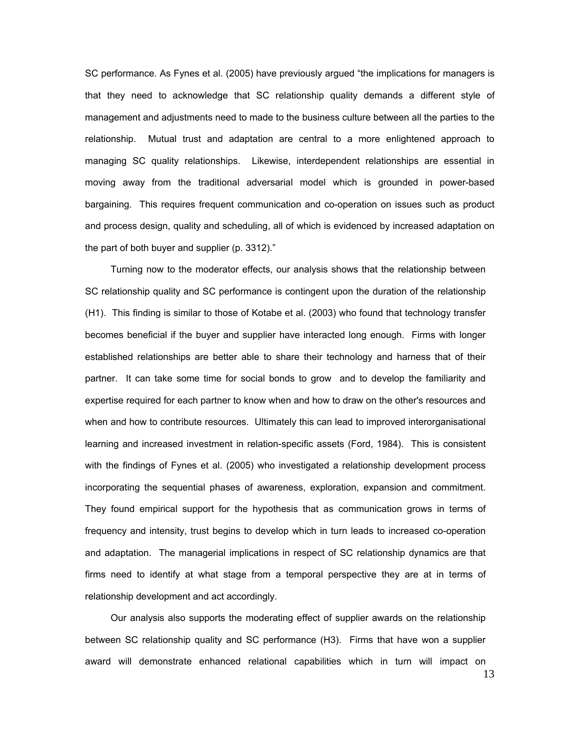SC performance. As Fynes et al. (2005) have previously argued "the implications for managers is that they need to acknowledge that SC relationship quality demands a different style of management and adjustments need to made to the business culture between all the parties to the relationship. Mutual trust and adaptation are central to a more enlightened approach to managing SC quality relationships. Likewise, interdependent relationships are essential in moving away from the traditional adversarial model which is grounded in power-based bargaining. This requires frequent communication and co-operation on issues such as product and process design, quality and scheduling, all of which is evidenced by increased adaptation on the part of both buyer and supplier (p. 3312)."

Turning now to the moderator effects, our analysis shows that the relationship between SC relationship quality and SC performance is contingent upon the duration of the relationship (H1). This finding is similar to those of Kotabe et al. (2003) who found that technology transfer becomes beneficial if the buyer and supplier have interacted long enough. Firms with longer established relationships are better able to share their technology and harness that of their partner. It can take some time for social bonds to grow and to develop the familiarity and expertise required for each partner to know when and how to draw on the other's resources and when and how to contribute resources. Ultimately this can lead to improved interorganisational learning and increased investment in relation-specific assets (Ford, 1984). This is consistent with the findings of Fynes et al. (2005) who investigated a relationship development process incorporating the sequential phases of awareness, exploration, expansion and commitment. They found empirical support for the hypothesis that as communication grows in terms of frequency and intensity, trust begins to develop which in turn leads to increased co-operation and adaptation. The managerial implications in respect of SC relationship dynamics are that firms need to identify at what stage from a temporal perspective they are at in terms of relationship development and act accordingly.

Our analysis also supports the moderating effect of supplier awards on the relationship between SC relationship quality and SC performance (H3). Firms that have won a supplier award will demonstrate enhanced relational capabilities which in turn will impact on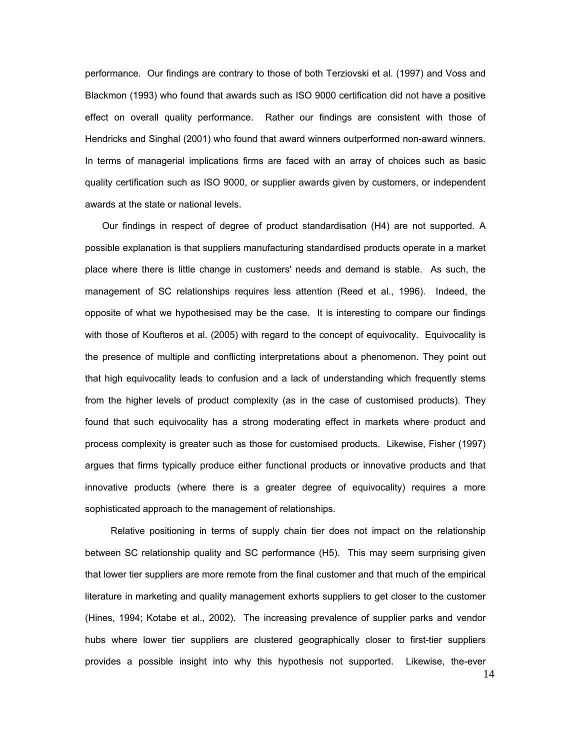performance. Our findings are contrary to those of both Terziovski et al. (1997) and Voss and Blackmon (1993) who found that awards such as ISO 9000 certification did not have a positive effect on overall quality performance. Rather our findings are consistent with those of Hendricks and Singhal (2001) who found that award winners outperformed non-award winners. In terms of managerial implications firms are faced with an array of choices such as basic quality certification such as ISO 9000, or supplier awards given by customers, or independent awards at the state or national levels.

Our findings in respect of degree of product standardisation (H4) are not supported. A possible explanation is that suppliers manufacturing standardised products operate in a market place where there is little change in customers' needs and demand is stable. As such, the management of SC relationships requires less attention (Reed et al., 1996). Indeed, the opposite of what we hypothesised may be the case. It is interesting to compare our findings with those of Koufteros et al. (2005) with regard to the concept of equivocality. Equivocality is the presence of multiple and conflicting interpretations about a phenomenon. They point out that high equivocality leads to confusion and a lack of understanding which frequently stems from the higher levels of product complexity (as in the case of customised products). They found that such equivocality has a strong moderating effect in markets where product and process complexity is greater such as those for customised products. Likewise, Fisher (1997) argues that firms typically produce either functional products or innovative products and that innovative products (where there is a greater degree of equivocality) requires a more sophisticated approach to the management of relationships.

Relative positioning in terms of supply chain tier does not impact on the relationship between SC relationship quality and SC performance (H5). This may seem surprising given that lower tier suppliers are more remote from the final customer and that much of the empirical literature in marketing and quality management exhorts suppliers to get closer to the customer (Hines, 1994; Kotabe et al., 2002). The increasing prevalence of supplier parks and vendor hubs where lower tier suppliers are clustered geographically closer to first-tier suppliers provides a possible insight into why this hypothesis not supported. Likewise, the-ever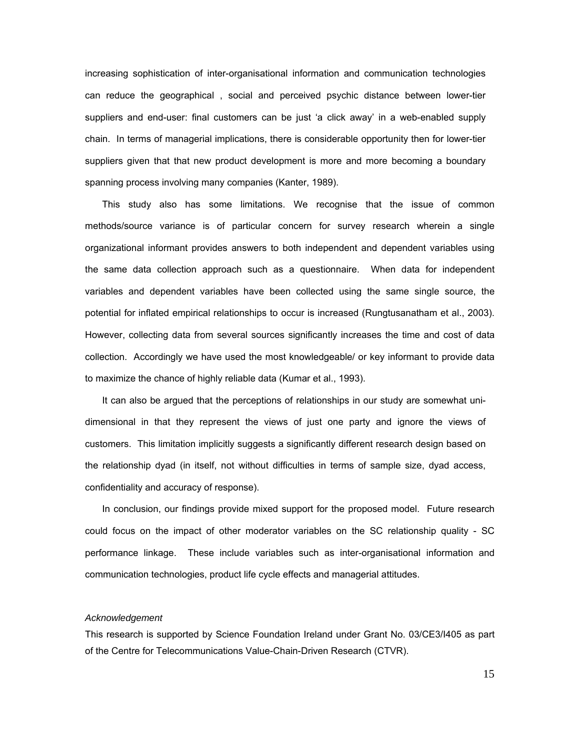increasing sophistication of inter-organisational information and communication technologies can reduce the geographical , social and perceived psychic distance between lower-tier suppliers and end-user: final customers can be just 'a click away' in a web-enabled supply chain. In terms of managerial implications, there is considerable opportunity then for lower-tier suppliers given that that new product development is more and more becoming a boundary spanning process involving many companies (Kanter, 1989).

This study also has some limitations. We recognise that the issue of common methods/source variance is of particular concern for survey research wherein a single organizational informant provides answers to both independent and dependent variables using the same data collection approach such as a questionnaire. When data for independent variables and dependent variables have been collected using the same single source, the potential for inflated empirical relationships to occur is increased (Rungtusanatham et al., 2003). However, collecting data from several sources significantly increases the time and cost of data collection. Accordingly we have used the most knowledgeable/ or key informant to provide data to maximize the chance of highly reliable data (Kumar et al., 1993).

It can also be argued that the perceptions of relationships in our study are somewhat unidimensional in that they represent the views of just one party and ignore the views of customers. This limitation implicitly suggests a significantly different research design based on the relationship dyad (in itself, not without difficulties in terms of sample size, dyad access, confidentiality and accuracy of response).

In conclusion, our findings provide mixed support for the proposed model. Future research could focus on the impact of other moderator variables on the SC relationship quality - SC performance linkage. These include variables such as inter-organisational information and communication technologies, product life cycle effects and managerial attitudes.

#### *Acknowledgement*

This research is supported by Science Foundation Ireland under Grant No. 03/CE3/I405 as part of the Centre for Telecommunications Value-Chain-Driven Research (CTVR).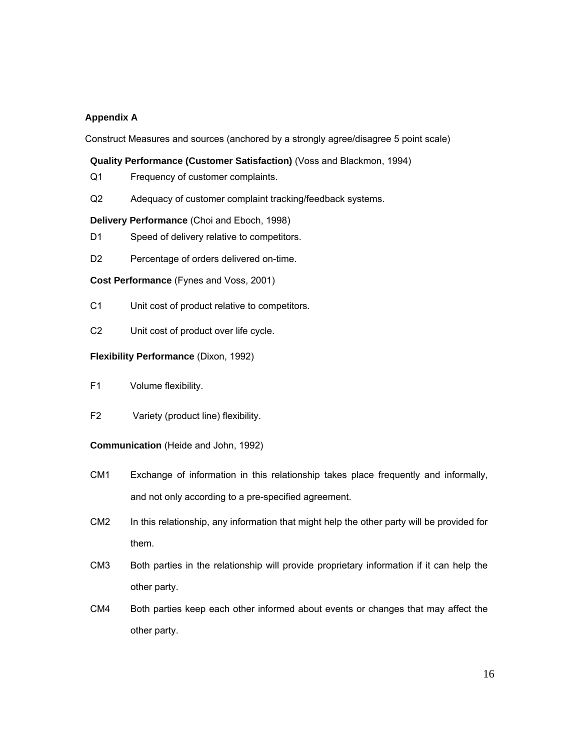# **Appendix A**

Construct Measures and sources (anchored by a strongly agree/disagree 5 point scale)

### **Quality Performance (Customer Satisfaction)** (Voss and Blackmon, 1994)

- Q1 Frequency of customer complaints.
- Q2 Adequacy of customer complaint tracking/feedback systems.

#### **Delivery Performance** (Choi and Eboch, 1998)

- D1 Speed of delivery relative to competitors.
- D2 Percentage of orders delivered on-time.

**Cost Performance** (Fynes and Voss, 2001)

- C1 Unit cost of product relative to competitors.
- C2 Unit cost of product over life cycle.

### **Flexibility Performance** (Dixon, 1992)

- F1 Volume flexibility.
- F2 Variety (product line) flexibility.

#### **Communication** (Heide and John, 1992)

- CM1 Exchange of information in this relationship takes place frequently and informally, and not only according to a pre-specified agreement.
- CM2 In this relationship, any information that might help the other party will be provided for them.
- CM3 Both parties in the relationship will provide proprietary information if it can help the other party.
- CM4 Both parties keep each other informed about events or changes that may affect the other party.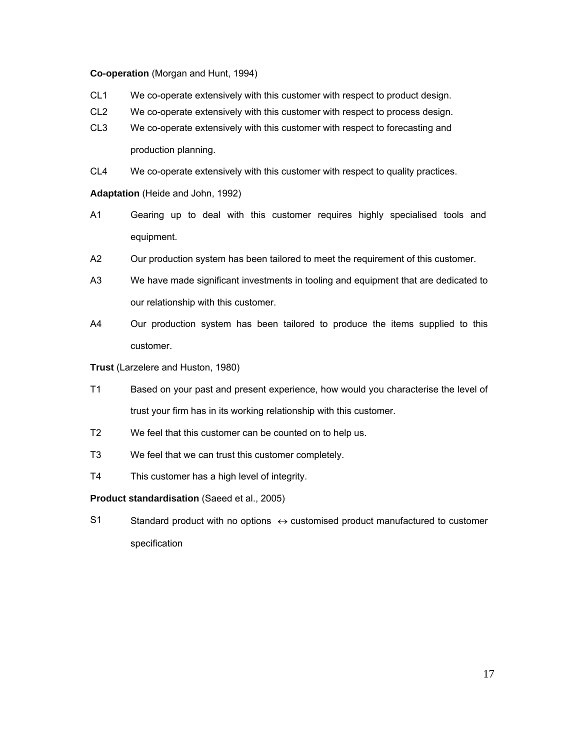#### **Co-operation** (Morgan and Hunt, 1994)

- CL1 We co-operate extensively with this customer with respect to product design.
- CL2 We co-operate extensively with this customer with respect to process design.
- CL3 We co-operate extensively with this customer with respect to forecasting and production planning.

CL4 We co-operate extensively with this customer with respect to quality practices.

**Adaptation** (Heide and John, 1992)

- A1 Gearing up to deal with this customer requires highly specialised tools and equipment.
- A2 Our production system has been tailored to meet the requirement of this customer.
- A3 We have made significant investments in tooling and equipment that are dedicated to our relationship with this customer.
- A4 Our production system has been tailored to produce the items supplied to this customer.

**Trust** (Larzelere and Huston, 1980)

- T1 Based on your past and present experience, how would you characterise the level of trust your firm has in its working relationship with this customer.
- T2 We feel that this customer can be counted on to help us.
- T3 We feel that we can trust this customer completely.
- T4 This customer has a high level of integrity.

## **Product standardisation** (Saeed et al., 2005)

S1 Standard product with no options  $\leftrightarrow$  customised product manufactured to customer specification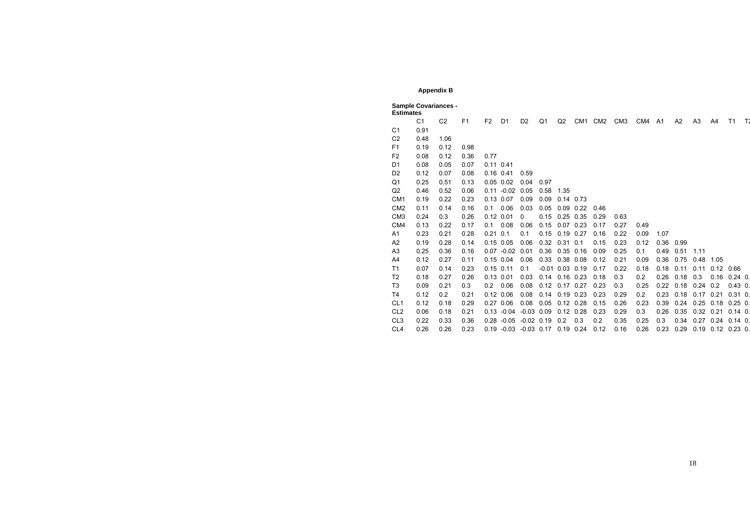# **Appendix B**

|                 | <b>Sample Covariances -</b><br><b>Estimates</b> |                |                |                |                           |                |                |               |         |      |                 |      |                |      |                |                    |                |    |
|-----------------|-------------------------------------------------|----------------|----------------|----------------|---------------------------|----------------|----------------|---------------|---------|------|-----------------|------|----------------|------|----------------|--------------------|----------------|----|
|                 | C <sub>1</sub>                                  | C <sub>2</sub> | F <sub>1</sub> | F <sub>2</sub> | D <sub>1</sub>            | D <sub>2</sub> | Q <sub>1</sub> | Q2            | CM1 CM2 |      | CM <sub>3</sub> | CM4  | A <sub>1</sub> | A2   | A <sub>3</sub> | A4                 | T <sub>1</sub> | T1 |
| C <sub>1</sub>  | 0.91                                            |                |                |                |                           |                |                |               |         |      |                 |      |                |      |                |                    |                |    |
| C <sub>2</sub>  | 0.48                                            | 1.06           |                |                |                           |                |                |               |         |      |                 |      |                |      |                |                    |                |    |
| F <sub>1</sub>  | 0.19                                            | 0.12           | 0.98           |                |                           |                |                |               |         |      |                 |      |                |      |                |                    |                |    |
| F <sub>2</sub>  | 0.08                                            | 0.12           | 0.36           | 0.77           |                           |                |                |               |         |      |                 |      |                |      |                |                    |                |    |
| D <sub>1</sub>  | 0.08                                            | 0.05           | 0.07           | $0.11$ $0.41$  |                           |                |                |               |         |      |                 |      |                |      |                |                    |                |    |
| D <sub>2</sub>  | 0.12                                            | 0.07           | 0.08           | $0.16$ $0.41$  |                           | 0.59           |                |               |         |      |                 |      |                |      |                |                    |                |    |
| Q <sub>1</sub>  | 0.25                                            | 0.51           | 0.13           | $0.05$ $0.02$  |                           | 0.04           | 0.97           |               |         |      |                 |      |                |      |                |                    |                |    |
| Q2              | 0.46                                            | 0.52           | 0.06           | 0.11           | $-0.02$                   | 0.05           | 0.58           | 1.35          |         |      |                 |      |                |      |                |                    |                |    |
| CM <sub>1</sub> | 0.19                                            | 0.22           | 0.23           | 0.13 0.07      |                           | 0.09           | 0.09           | $0.14$ 0.73   |         |      |                 |      |                |      |                |                    |                |    |
| CM <sub>2</sub> | 0.11                                            | 0.14           | 0.16           | 0.1            | 0.06                      | 0.03           | 0.05           | 0.09          | 0.22    | 0.46 |                 |      |                |      |                |                    |                |    |
| CM <sub>3</sub> | 0.24                                            | 0.3            | 0.26           | $0.12$ $0.01$  |                           | 0              | 0.15           | $0.25$ 0.35   |         | 0.29 | 0.63            |      |                |      |                |                    |                |    |
| CM4             | 0.13                                            | 0.22           | 0.17           | 0.1            | 0.08                      | 0.06           | 0.15           | $0.07$ 0.23   |         | 0.17 | 0.27            | 0.49 |                |      |                |                    |                |    |
| A1              | 0.23                                            | 0.21           | 0.28           | 0.21           | 0.1                       | 0.1            | 0.15           | 0.19          | 0.27    | 0.16 | 0.22            | 0.09 | 1.07           |      |                |                    |                |    |
| A2              | 0.19                                            | 0.28           | 0.14           | $0.15$ 0.05    |                           | 0.06           | 0.32           | 0.31          | 0.1     | 0.15 | 0.23            | 0.12 | 0.36           | 0.99 |                |                    |                |    |
| A <sub>3</sub>  | 0.25                                            | 0.36           | 0.16           |                | $0.07 - 0.02$             | 0.01           | 0.36           | $0.35$ 0.16   |         | 0.09 | 0.25            | 0.1  | 0.49           | 0.51 | 1.11           |                    |                |    |
| A4              | 0.12                                            | 0.27           | 0.11           | $0.15$ 0.04    |                           | 0.06           | 0.33           | 0.38 0.08     |         | 0.12 | 0.21            | 0.09 | 0.36           | 0.75 | 0.48           | 1.05               |                |    |
| T1              | 0.07                                            | 0.14           | 0.23           | $0.15$ $0.11$  |                           | 0.1            | $-0.01$        | $0.03$ $0.19$ |         | 0.17 | 0.22            | 0.18 | 0.18           | 0.11 | 0.11           | 0.12               | 0.66           |    |
| T <sub>2</sub>  | 0.18                                            | 0.27           | 0.26           | $0.13$ $0.01$  |                           | 0.03           | 0.14           | $0.16$ $0.23$ |         | 0.18 | 0.3             | 0.2  | 0.26           | 0.18 | 0.3            | 0.16               | $0.24$ 0.      |    |
| T <sub>3</sub>  | 0.09                                            | 0.21           | 0.3            | 0.2            | 0.06                      | 0.08           | 0.12           | $0.17$ 0.27   |         | 0.23 | 0.3             | 0.25 | 0.22           | 0.18 | 0.24           | 0.2                | $0.43$ 0.      |    |
| T <sub>4</sub>  | 0.12                                            | 0.2            | 0.21           | $0.12$ $0.06$  |                           | 0.08           | 0.14           | $0.19$ $0.23$ |         | 0.23 | 0.29            | 0.2  | 0.23           | 0.18 | 0.17           | 0.21               | $0.31$ $0.$    |    |
| CL <sub>1</sub> | 0.12                                            | 0.18           | 0.29           | 0.27 0.06      |                           | 0.08           | 0.05           | $0.12$ $0.28$ |         | 0.15 | 0.26            | 0.23 | 0.39           | 0.24 | 0.25           | 0.18               | $0.25$ 0.      |    |
| CL <sub>2</sub> | 0.06                                            | 0.18           | 0.21           | 0.13           | $-0.04$                   | $-0.03$        | 0.09           | $0.12$ $0.28$ |         | 0.23 | 0.29            | 0.3  | 0.26           | 0.35 | 0.32           | 0.21               | $0.14$ 0.      |    |
| CL <sub>3</sub> | 0.22                                            | 0.33           | 0.36           |                | $0.28 - 0.05$             | $-0.02$ 0.19   |                | 0.2           | 0.3     | 0.2  | 0.35            | 0.25 | 0.3            | 0.34 |                | $0.27$ 0.24        | $0.14$ 0.      |    |
| CL <sub>4</sub> | 0.26                                            | 0.26           | 0.23           |                | $0.19 - 0.03 - 0.03$ 0.17 |                |                | $0.19$ 0.24   |         | 0.12 | 0.16            | 0.26 | 0.23           | 0.29 | 0.19           | $0.12$ $0.23$ $0.$ |                |    |

|  | CM1 CM2 CM3 CM4 A1 A2 A3 A4 T1 T: |  |  |  |  |
|--|-----------------------------------|--|--|--|--|
|  |                                   |  |  |  |  |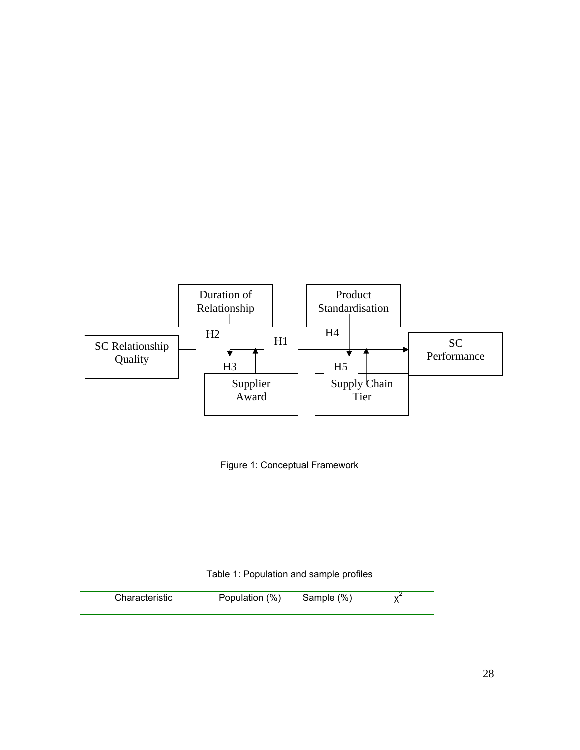



Table 1: Population and sample profiles

| Sample (%)<br>Characteristic<br>Population (%) |  |
|------------------------------------------------|--|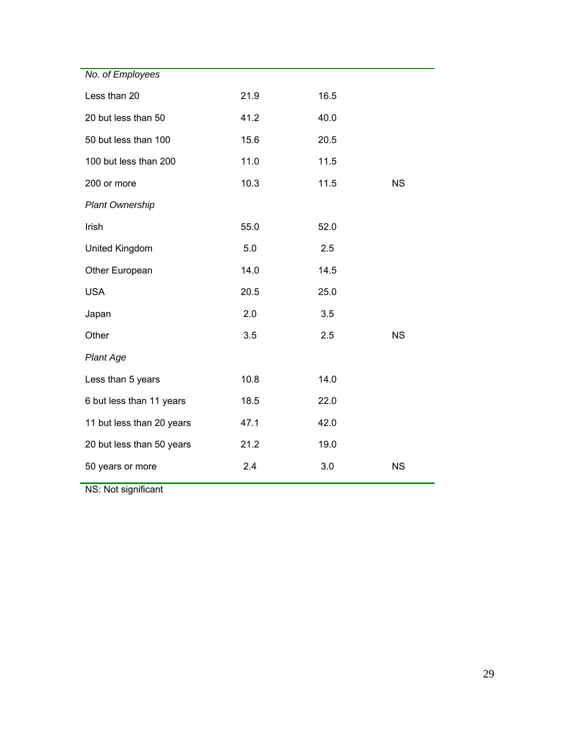| No. of Employees          |      |      |           |
|---------------------------|------|------|-----------|
| Less than 20              | 21.9 | 16.5 |           |
| 20 but less than 50       | 41.2 | 40.0 |           |
| 50 but less than 100      | 15.6 | 20.5 |           |
| 100 but less than 200     | 11.0 | 11.5 |           |
| 200 or more               | 10.3 | 11.5 | <b>NS</b> |
| <b>Plant Ownership</b>    |      |      |           |
| Irish                     | 55.0 | 52.0 |           |
| United Kingdom            | 5.0  | 2.5  |           |
| Other European            | 14.0 | 14.5 |           |
| <b>USA</b>                | 20.5 | 25.0 |           |
| Japan                     | 2.0  | 3.5  |           |
| Other                     | 3.5  | 2.5  | <b>NS</b> |
| <b>Plant Age</b>          |      |      |           |
| Less than 5 years         | 10.8 | 14.0 |           |
| 6 but less than 11 years  | 18.5 | 22.0 |           |
| 11 but less than 20 years | 47.1 | 42.0 |           |
| 20 but less than 50 years | 21.2 | 19.0 |           |
| 50 years or more          | 2.4  | 3.0  | <b>NS</b> |
|                           |      |      |           |

NS: Not significant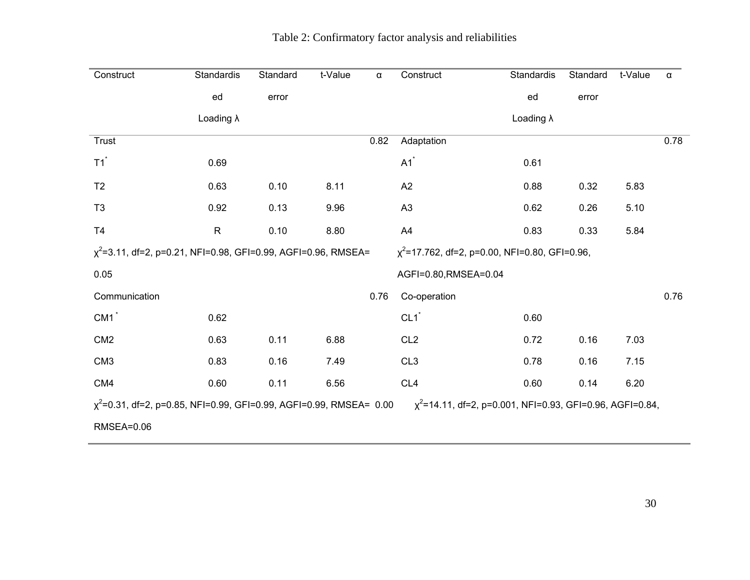| Construct                                                                                                                                  | Standardis        | Standard | t-Value | $\alpha$ | Construct                                           | Standardis        | Standard | t-Value | α    |
|--------------------------------------------------------------------------------------------------------------------------------------------|-------------------|----------|---------|----------|-----------------------------------------------------|-------------------|----------|---------|------|
|                                                                                                                                            | ed                | error    |         |          |                                                     | ed                | error    |         |      |
|                                                                                                                                            | Loading $\lambda$ |          |         |          |                                                     | Loading $\lambda$ |          |         |      |
| Trust                                                                                                                                      |                   |          |         | 0.82     | Adaptation                                          |                   |          |         | 0.78 |
| $T1$ <sup>*</sup>                                                                                                                          | 0.69              |          |         |          | $A1$ <sup>*</sup>                                   | 0.61              |          |         |      |
| T <sub>2</sub>                                                                                                                             | 0.63              | 0.10     | 8.11    |          | A2                                                  | 0.88              | 0.32     | 5.83    |      |
| T <sub>3</sub>                                                                                                                             | 0.92              | 0.13     | 9.96    |          | A3                                                  | 0.62              | 0.26     | 5.10    |      |
| T <sub>4</sub>                                                                                                                             | $\mathsf{R}$      | 0.10     | 8.80    |          | A4                                                  | 0.83              | 0.33     | 5.84    |      |
| $\chi^2$ =3.11, df=2, p=0.21, NFI=0.98, GFI=0.99, AGFI=0.96, RMSEA=                                                                        |                   |          |         |          | $\chi^2$ =17.762, df=2, p=0.00, NFI=0.80, GFI=0.96, |                   |          |         |      |
| 0.05                                                                                                                                       |                   |          |         |          | AGFI=0.80, RMSEA=0.04                               |                   |          |         |      |
| Communication                                                                                                                              |                   |          |         | 0.76     | Co-operation                                        |                   |          |         | 0.76 |
| $CM1$ <sup>*</sup>                                                                                                                         | 0.62              |          |         |          | $CL1$ <sup>*</sup>                                  | 0.60              |          |         |      |
| CM <sub>2</sub>                                                                                                                            | 0.63              | 0.11     | 6.88    |          | CL <sub>2</sub>                                     | 0.72              | 0.16     | 7.03    |      |
| CM <sub>3</sub>                                                                                                                            | 0.83              | 0.16     | 7.49    |          | CL <sub>3</sub>                                     | 0.78              | 0.16     | 7.15    |      |
| CM4                                                                                                                                        | 0.60              | 0.11     | 6.56    |          | CL <sub>4</sub>                                     | 0.60              | 0.14     | 6.20    |      |
| $\chi^2$ =0.31, df=2, p=0.85, NFI=0.99, GFI=0.99, AGFI=0.99, RMSEA= 0.00<br>$\chi^2$ =14.11, df=2, p=0.001, NFI=0.93, GFI=0.96, AGFI=0.84, |                   |          |         |          |                                                     |                   |          |         |      |
| <b>RMSEA=0.06</b>                                                                                                                          |                   |          |         |          |                                                     |                   |          |         |      |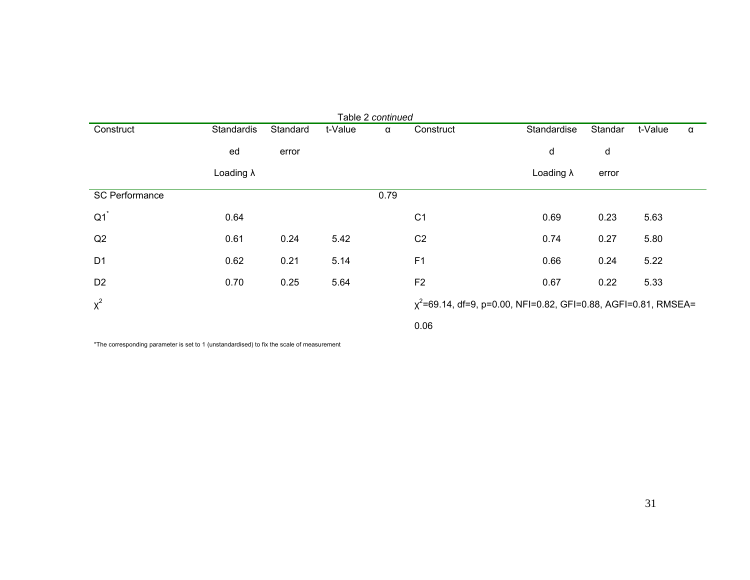| Table 2 continued     |                   |          |         |      |                |                                                                      |         |         |          |
|-----------------------|-------------------|----------|---------|------|----------------|----------------------------------------------------------------------|---------|---------|----------|
| Construct             | Standardis        | Standard | t-Value | α    | Construct      | Standardise                                                          | Standar | t-Value | $\alpha$ |
|                       | ed                | error    |         |      |                | d                                                                    | d       |         |          |
|                       | Loading $\lambda$ |          |         |      |                | Loading $\lambda$                                                    | error   |         |          |
| <b>SC Performance</b> |                   |          |         | 0.79 |                |                                                                      |         |         |          |
| Q1                    | 0.64              |          |         |      | C <sub>1</sub> | 0.69                                                                 | 0.23    | 5.63    |          |
| Q2                    | 0.61              | 0.24     | 5.42    |      | C <sub>2</sub> | 0.74                                                                 | 0.27    | 5.80    |          |
| D <sub>1</sub>        | 0.62              | 0.21     | 5.14    |      | F <sub>1</sub> | 0.66                                                                 | 0.24    | 5.22    |          |
| D <sub>2</sub>        | 0.70              | 0.25     | 5.64    |      | F <sub>2</sub> | 0.67                                                                 | 0.22    | 5.33    |          |
| $x^2$                 |                   |          |         |      |                | $\chi^2$ =69.14, df=9, p=0.00, NFI=0.82, GFI=0.88, AGFI=0.81, RMSEA= |         |         |          |
|                       |                   |          |         |      | 0.06           |                                                                      |         |         |          |

\*The corresponding parameter is set to 1 (unstandardised) to fix the scale of measurement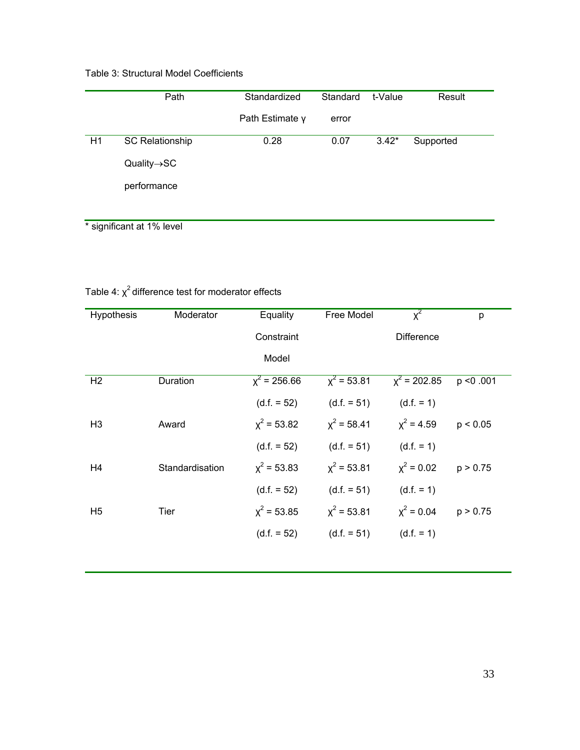# Table 3: Structural Model Coefficients

|    | Path                     | Standardized    | Standard | t-Value | Result    |
|----|--------------------------|-----------------|----------|---------|-----------|
|    |                          | Path Estimate y | error    |         |           |
| H1 | <b>SC Relationship</b>   | 0.28            | 0.07     | $3.42*$ | Supported |
|    | $Quality \rightarrow SC$ |                 |          |         |           |
|    | performance              |                 |          |         |           |
|    |                          |                 |          |         |           |

\* significant at 1% level

# Table 4:  $\chi^2$  difference test for moderator effects

| <b>Hypothesis</b> | Moderator       | Equality       | Free Model    | $x^2$             | p         |
|-------------------|-----------------|----------------|---------------|-------------------|-----------|
|                   |                 | Constraint     |               | <b>Difference</b> |           |
|                   |                 | Model          |               |                   |           |
| H <sub>2</sub>    | Duration        | $x^2$ = 256.66 | $x^2 = 53.81$ | $x^2$ = 202.85    | p < 0.001 |
|                   |                 | $(d.f. = 52)$  | $(d.f. = 51)$ | $(d.f. = 1)$      |           |
| H <sub>3</sub>    | Award           | $x^2$ = 53.82  | $x^2 = 58.41$ | $x^2 = 4.59$      | p < 0.05  |
|                   |                 | $(d.f. = 52)$  | $(d.f. = 51)$ | $(d.f. = 1)$      |           |
| H <sub>4</sub>    | Standardisation | $x^2$ = 53.83  | $x^2 = 53.81$ | $x^2 = 0.02$      | p > 0.75  |
|                   |                 | $(d.f. = 52)$  | $(d.f. = 51)$ | $(d.f. = 1)$      |           |
| H <sub>5</sub>    | Tier            | $x^2$ = 53.85  | $x^2 = 53.81$ | $x^2 = 0.04$      | p > 0.75  |
|                   |                 | $(d.f. = 52)$  | $(d.f. = 51)$ | $(d.f. = 1)$      |           |
|                   |                 |                |               |                   |           |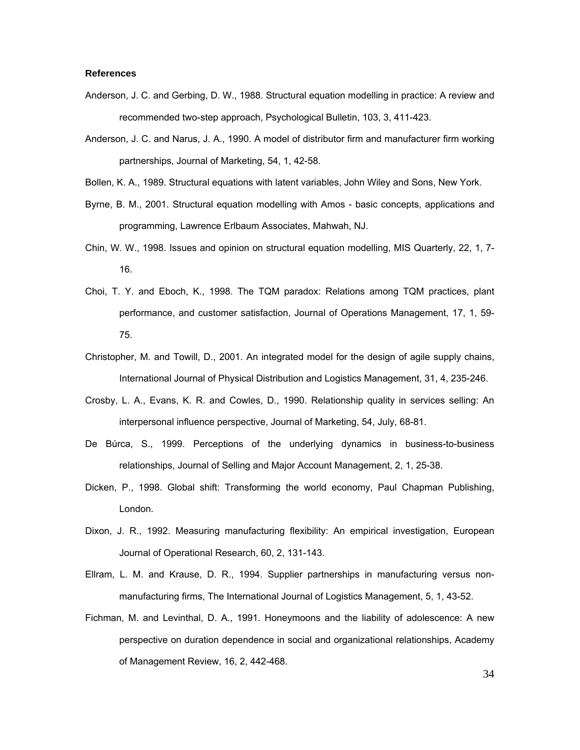#### **References**

- Anderson, J. C. and Gerbing, D. W., 1988. Structural equation modelling in practice: A review and recommended two-step approach, Psychological Bulletin, 103, 3, 411-423.
- Anderson, J. C. and Narus, J. A., 1990. A model of distributor firm and manufacturer firm working partnerships, Journal of Marketing, 54, 1, 42-58.
- Bollen, K. A., 1989. Structural equations with latent variables, John Wiley and Sons, New York.
- Byrne, B. M., 2001. Structural equation modelling with Amos basic concepts, applications and programming, Lawrence Erlbaum Associates, Mahwah, NJ.
- Chin, W. W., 1998. Issues and opinion on structural equation modelling, MIS Quarterly, 22, 1, 7- 16.
- Choi, T. Y. and Eboch, K., 1998. The TQM paradox: Relations among TQM practices, plant performance, and customer satisfaction, Journal of Operations Management, 17, 1, 59- 75.
- Christopher, M. and Towill, D., 2001. An integrated model for the design of agile supply chains, International Journal of Physical Distribution and Logistics Management, 31, 4, 235-246.
- Crosby, L. A., Evans, K. R. and Cowles, D., 1990. Relationship quality in services selling: An interpersonal influence perspective, Journal of Marketing, 54, July, 68-81.
- De Búrca, S., 1999. Perceptions of the underlying dynamics in business-to-business relationships, Journal of Selling and Major Account Management, 2, 1, 25-38.
- Dicken, P., 1998. Global shift: Transforming the world economy, Paul Chapman Publishing, London.
- Dixon, J. R., 1992. Measuring manufacturing flexibility: An empirical investigation, European Journal of Operational Research, 60, 2, 131-143.
- Ellram, L. M. and Krause, D. R., 1994. Supplier partnerships in manufacturing versus nonmanufacturing firms, The International Journal of Logistics Management, 5, 1, 43-52.
- Fichman, M. and Levinthal, D. A., 1991. Honeymoons and the liability of adolescence: A new perspective on duration dependence in social and organizational relationships, Academy of Management Review, 16, 2, 442-468.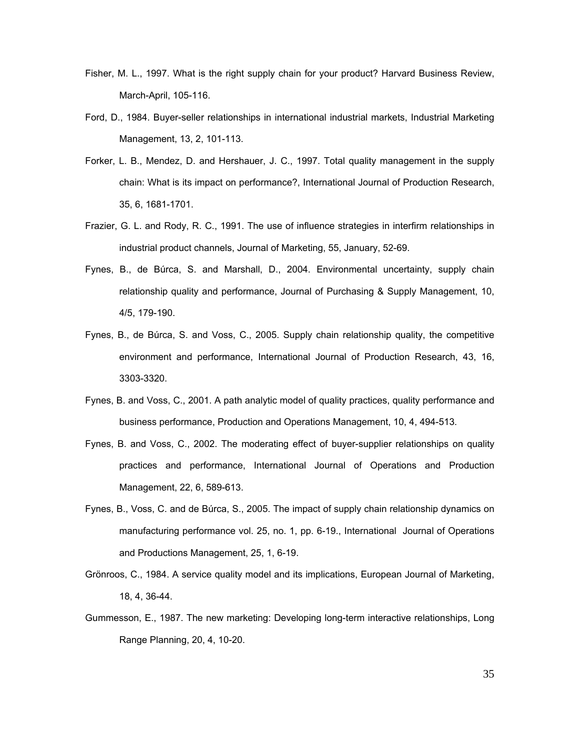- Fisher, M. L., 1997. What is the right supply chain for your product? Harvard Business Review, March-April, 105-116.
- Ford, D., 1984. Buyer-seller relationships in international industrial markets, Industrial Marketing Management, 13, 2, 101-113.
- Forker, L. B., Mendez, D. and Hershauer, J. C., 1997. Total quality management in the supply chain: What is its impact on performance?, International Journal of Production Research, 35, 6, 1681-1701.
- Frazier, G. L. and Rody, R. C., 1991. The use of influence strategies in interfirm relationships in industrial product channels, Journal of Marketing, 55, January, 52-69.
- Fynes, B., de Búrca, S. and Marshall, D., 2004. Environmental uncertainty, supply chain relationship quality and performance, Journal of Purchasing & Supply Management, 10, 4/5, 179-190.
- Fynes, B., de Búrca, S. and Voss, C., 2005. Supply chain relationship quality, the competitive environment and performance, International Journal of Production Research, 43, 16, 3303-3320.
- Fynes, B. and Voss, C., 2001. A path analytic model of quality practices, quality performance and business performance, Production and Operations Management, 10, 4, 494-513.
- Fynes, B. and Voss, C., 2002. The moderating effect of buyer-supplier relationships on quality practices and performance, International Journal of Operations and Production Management, 22, 6, 589-613.
- Fynes, B., Voss, C. and de Búrca, S., 2005. The impact of supply chain relationship dynamics on manufacturing performance vol. 25, no. 1, pp. 6-19., International Journal of Operations and Productions Management, 25, 1, 6-19.
- Grönroos, C., 1984. A service quality model and its implications, European Journal of Marketing, 18, 4, 36-44.
- Gummesson, E., 1987. The new marketing: Developing long-term interactive relationships, Long Range Planning, 20, 4, 10-20.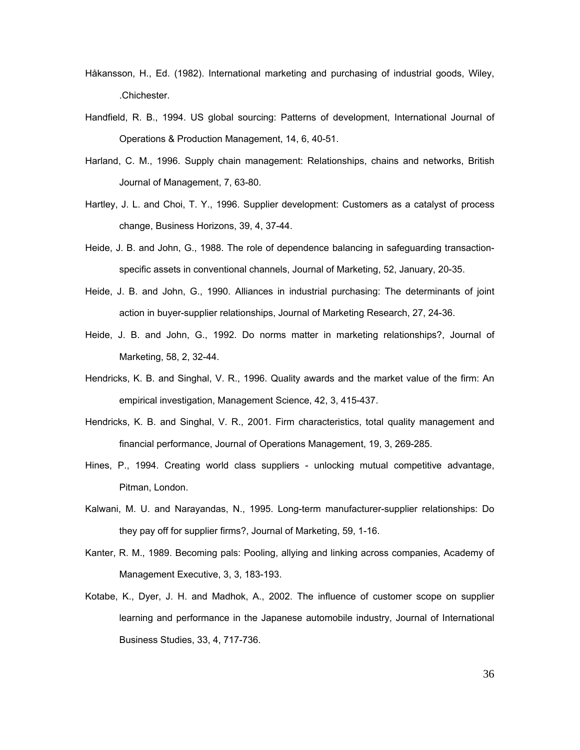- Håkansson, H., Ed. (1982). International marketing and purchasing of industrial goods, Wiley, .Chichester.
- Handfield, R. B., 1994. US global sourcing: Patterns of development, International Journal of Operations & Production Management, 14, 6, 40-51.
- Harland, C. M., 1996. Supply chain management: Relationships, chains and networks, British Journal of Management, 7, 63-80.
- Hartley, J. L. and Choi, T. Y., 1996. Supplier development: Customers as a catalyst of process change, Business Horizons, 39, 4, 37-44.
- Heide, J. B. and John, G., 1988. The role of dependence balancing in safeguarding transactionspecific assets in conventional channels, Journal of Marketing, 52, January, 20-35.
- Heide, J. B. and John, G., 1990. Alliances in industrial purchasing: The determinants of joint action in buyer-supplier relationships, Journal of Marketing Research, 27, 24-36.
- Heide, J. B. and John, G., 1992. Do norms matter in marketing relationships?, Journal of Marketing, 58, 2, 32-44.
- Hendricks, K. B. and Singhal, V. R., 1996. Quality awards and the market value of the firm: An empirical investigation, Management Science, 42, 3, 415-437.
- Hendricks, K. B. and Singhal, V. R., 2001. Firm characteristics, total quality management and financial performance, Journal of Operations Management, 19, 3, 269-285.
- Hines, P., 1994. Creating world class suppliers unlocking mutual competitive advantage, Pitman, London.
- Kalwani, M. U. and Narayandas, N., 1995. Long-term manufacturer-supplier relationships: Do they pay off for supplier firms?, Journal of Marketing, 59, 1-16.
- Kanter, R. M., 1989. Becoming pals: Pooling, allying and linking across companies, Academy of Management Executive, 3, 3, 183-193.
- Kotabe, K., Dyer, J. H. and Madhok, A., 2002. The influence of customer scope on supplier learning and performance in the Japanese automobile industry, Journal of International Business Studies, 33, 4, 717-736.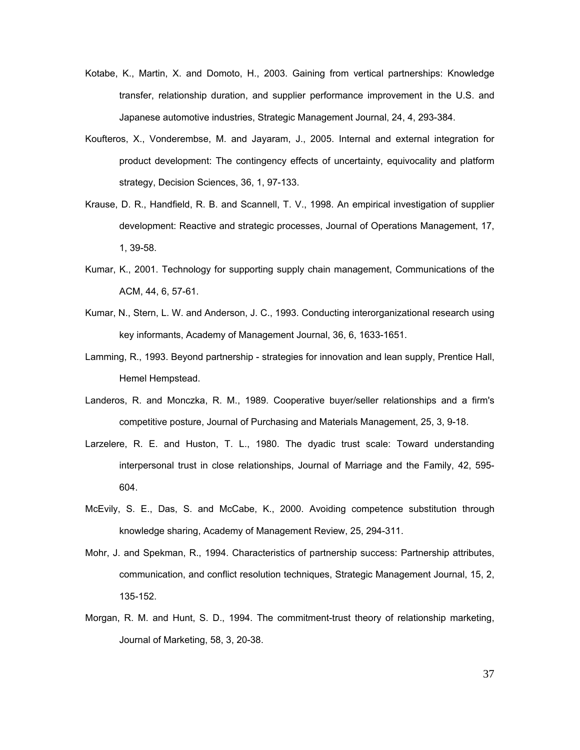- Kotabe, K., Martin, X. and Domoto, H., 2003. Gaining from vertical partnerships: Knowledge transfer, relationship duration, and supplier performance improvement in the U.S. and Japanese automotive industries, Strategic Management Journal, 24, 4, 293-384.
- Koufteros, X., Vonderembse, M. and Jayaram, J., 2005. Internal and external integration for product development: The contingency effects of uncertainty, equivocality and platform strategy, Decision Sciences, 36, 1, 97-133.
- Krause, D. R., Handfield, R. B. and Scannell, T. V., 1998. An empirical investigation of supplier development: Reactive and strategic processes, Journal of Operations Management, 17, 1, 39-58.
- Kumar, K., 2001. Technology for supporting supply chain management, Communications of the ACM, 44, 6, 57-61.
- Kumar, N., Stern, L. W. and Anderson, J. C., 1993. Conducting interorganizational research using key informants, Academy of Management Journal, 36, 6, 1633-1651.
- Lamming, R., 1993. Beyond partnership strategies for innovation and lean supply, Prentice Hall, Hemel Hempstead.
- Landeros, R. and Monczka, R. M., 1989. Cooperative buyer/seller relationships and a firm's competitive posture, Journal of Purchasing and Materials Management, 25, 3, 9-18.
- Larzelere, R. E. and Huston, T. L., 1980. The dyadic trust scale: Toward understanding interpersonal trust in close relationships, Journal of Marriage and the Family, 42, 595- 604.
- McEvily, S. E., Das, S. and McCabe, K., 2000. Avoiding competence substitution through knowledge sharing, Academy of Management Review, 25, 294-311.
- Mohr, J. and Spekman, R., 1994. Characteristics of partnership success: Partnership attributes, communication, and conflict resolution techniques, Strategic Management Journal, 15, 2, 135-152.
- Morgan, R. M. and Hunt, S. D., 1994. The commitment-trust theory of relationship marketing, Journal of Marketing, 58, 3, 20-38.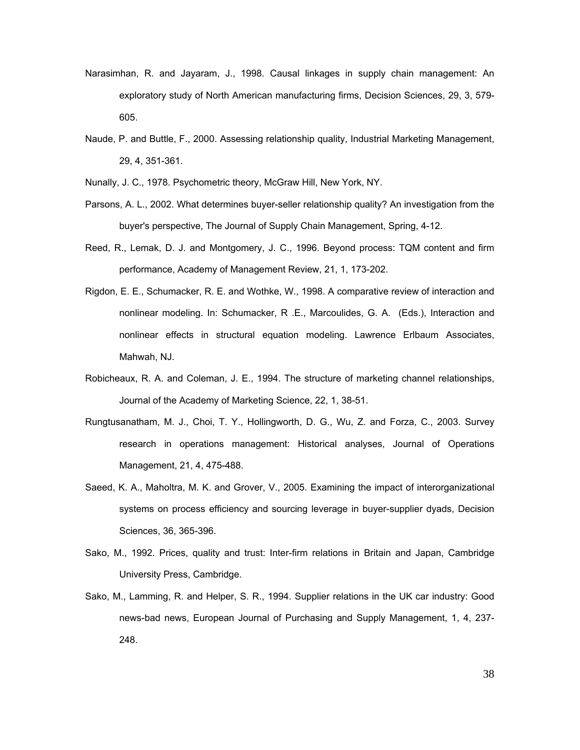- Narasimhan, R. and Jayaram, J., 1998. Causal linkages in supply chain management: An exploratory study of North American manufacturing firms, Decision Sciences, 29, 3, 579- 605.
- Naude, P. and Buttle, F., 2000. Assessing relationship quality, Industrial Marketing Management, 29, 4, 351-361.
- Nunally, J. C., 1978. Psychometric theory, McGraw Hill, New York, NY.
- Parsons, A. L., 2002. What determines buyer-seller relationship quality? An investigation from the buyer's perspective, The Journal of Supply Chain Management, Spring, 4-12.
- Reed, R., Lemak, D. J. and Montgomery, J. C., 1996. Beyond process: TQM content and firm performance, Academy of Management Review, 21, 1, 173-202.
- Rigdon, E. E., Schumacker, R. E. and Wothke, W., 1998. A comparative review of interaction and nonlinear modeling. In: Schumacker, R .E., Marcoulides, G. A. (Eds.), Interaction and nonlinear effects in structural equation modeling. Lawrence Erlbaum Associates, Mahwah, NJ.
- Robicheaux, R. A. and Coleman, J. E., 1994. The structure of marketing channel relationships, Journal of the Academy of Marketing Science, 22, 1, 38-51.
- Rungtusanatham, M. J., Choi, T. Y., Hollingworth, D. G., Wu, Z. and Forza, C., 2003. Survey research in operations management: Historical analyses, Journal of Operations Management, 21, 4, 475-488.
- Saeed, K. A., Maholtra, M. K. and Grover, V., 2005. Examining the impact of interorganizational systems on process efficiency and sourcing leverage in buyer-supplier dyads, Decision Sciences, 36, 365-396.
- Sako, M., 1992. Prices, quality and trust: Inter-firm relations in Britain and Japan, Cambridge University Press, Cambridge.
- Sako, M., Lamming, R. and Helper, S. R., 1994. Supplier relations in the UK car industry: Good news-bad news, European Journal of Purchasing and Supply Management, 1, 4, 237- 248.